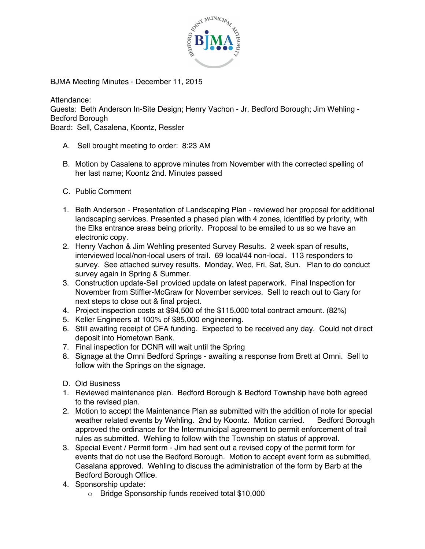

BJMA Meeting Minutes - December 11, 2015

Attendance:

Guests: Beth Anderson In-Site Design; Henry Vachon - Jr. Bedford Borough; Jim Wehling - Bedford Borough

Board: Sell, Casalena, Koontz, Ressler

- A. Sell brought meeting to order: 8:23 AM
- B. Motion by Casalena to approve minutes from November with the corrected spelling of her last name; Koontz 2nd. Minutes passed
- C. Public Comment
- 1. Beth Anderson Presentation of Landscaping Plan reviewed her proposal for additional landscaping services. Presented a phased plan with 4 zones, identified by priority, with the Elks entrance areas being priority. Proposal to be emailed to us so we have an electronic copy.
- 2. Henry Vachon & Jim Wehling presented Survey Results. 2 week span of results, interviewed local/non-local users of trail. 69 local/44 non-local. 113 responders to survey. See attached survey results. Monday, Wed, Fri, Sat, Sun. Plan to do conduct survey again in Spring & Summer.
- 3. Construction update-Sell provided update on latest paperwork. Final Inspection for November from Stiffler-McGraw for November services. Sell to reach out to Gary for next steps to close out & final project.
- 4. Project inspection costs at \$94,500 of the \$115,000 total contract amount. (82%)
- 5. Keller Engineers at 100% of \$85,000 engineering.
- 6. Still awaiting receipt of CFA funding. Expected to be received any day. Could not direct deposit into Hometown Bank.
- 7. Final inspection for DCNR will wait until the Spring
- 8. Signage at the Omni Bedford Springs awaiting a response from Brett at Omni. Sell to follow with the Springs on the signage.
- D. Old Business
- 1. Reviewed maintenance plan. Bedford Borough & Bedford Township have both agreed to the revised plan.
- 2. Motion to accept the Maintenance Plan as submitted with the addition of note for special weather related events by Wehling. 2nd by Koontz. Motion carried. Bedford Borough approved the ordinance for the Intermunicipal agreement to permit enforcement of trail rules as submitted. Wehling to follow with the Township on status of approval.
- 3. Special Event / Permit form Jim had sent out a revised copy of the permit form for events that do not use the Bedford Borough. Motion to accept event form as submitted, Casalana approved. Wehling to discuss the administration of the form by Barb at the Bedford Borough Office.
- 4. Sponsorship update:
	- o Bridge Sponsorship funds received total \$10,000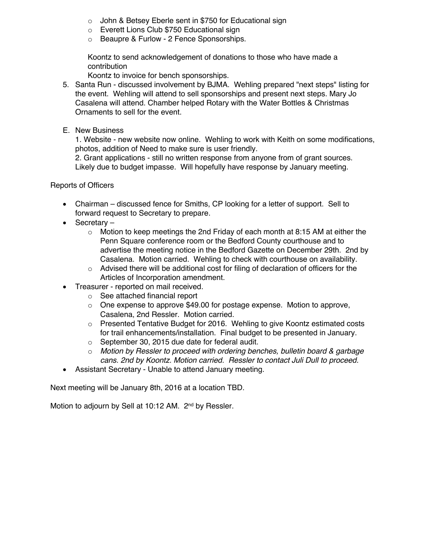- o John & Betsey Eberle sent in \$750 for Educational sign
- o Everett Lions Club \$750 Educational sign
- o Beaupre & Furlow 2 Fence Sponsorships.

Koontz to send acknowledgement of donations to those who have made a contribution

Koontz to invoice for bench sponsorships.

- 5. Santa Run discussed involvement by BJMA. Wehling prepared "next steps" listing for the event. Wehling will attend to sell sponsorships and present next steps. Mary Jo Casalena will attend. Chamber helped Rotary with the Water Bottles & Christmas Ornaments to sell for the event.
- E. New Business

1. Website - new website now online. Wehling to work with Keith on some modifications, photos, addition of Need to make sure is user friendly.

2. Grant applications - still no written response from anyone from of grant sources. Likely due to budget impasse. Will hopefully have response by January meeting.

Reports of Officers

- Chairman discussed fence for Smiths, CP looking for a letter of support. Sell to forward request to Secretary to prepare.
- Secretary
	- $\circ$  Motion to keep meetings the 2nd Friday of each month at 8:15 AM at either the Penn Square conference room or the Bedford County courthouse and to advertise the meeting notice in the Bedford Gazette on December 29th. 2nd by Casalena. Motion carried. Wehling to check with courthouse on availability.
	- $\circ$  Advised there will be additional cost for filing of declaration of officers for the Articles of Incorporation amendment.
- Treasurer reported on mail received.
	- o See attached financial report
	- o One expense to approve \$49.00 for postage expense. Motion to approve, Casalena, 2nd Ressler. Motion carried.
	- o Presented Tentative Budget for 2016. Wehling to give Koontz estimated costs for trail enhancements/installation. Final budget to be presented in January.
	- o September 30, 2015 due date for federal audit.
	- o *Motion by Ressler to proceed with ordering benches, bulletin board & garbage cans. 2nd by Koontz. Motion carried. Ressler to contact Juli Dull to proceed.*
- Assistant Secretary Unable to attend January meeting.

Next meeting will be January 8th, 2016 at a location TBD.

Motion to adjourn by Sell at 10:12 AM. 2<sup>nd</sup> by Ressler.